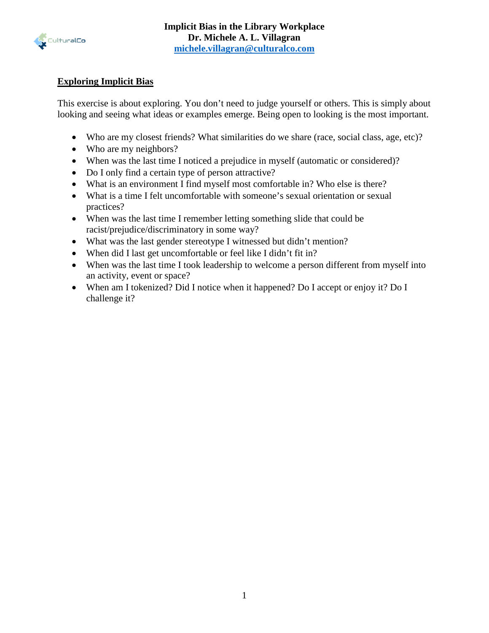

## **Exploring Implicit Bias**

This exercise is about exploring. You don't need to judge yourself or others. This is simply about looking and seeing what ideas or examples emerge. Being open to looking is the most important.

- Who are my closest friends? What similarities do we share (race, social class, age, etc)?
- Who are my neighbors?
- When was the last time I noticed a prejudice in myself (automatic or considered)?
- Do I only find a certain type of person attractive?
- What is an environment I find myself most comfortable in? Who else is there?
- What is a time I felt uncomfortable with someone's sexual orientation or sexual practices?
- When was the last time I remember letting something slide that could be racist/prejudice/discriminatory in some way?
- What was the last gender stereotype I witnessed but didn't mention?
- When did I last get uncomfortable or feel like I didn't fit in?
- When was the last time I took leadership to welcome a person different from myself into an activity, event or space?
- When am I tokenized? Did I notice when it happened? Do I accept or enjoy it? Do I challenge it?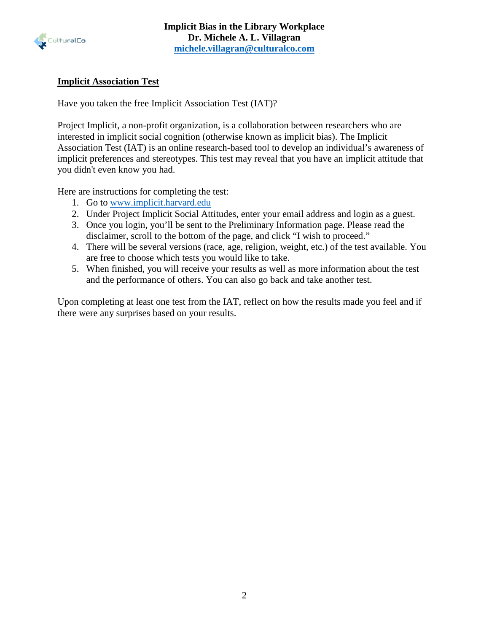

# **Implicit Association Test**

Have you taken the free Implicit Association Test (IAT)?

Project Implicit, a non-profit organization, is a collaboration between researchers who are interested in implicit social cognition (otherwise known as implicit bias). The Implicit Association Test (IAT) is an online research-based tool to develop an individual's awareness of implicit preferences and stereotypes. This test may reveal that you have an implicit attitude that you didn't even know you had.

Here are instructions for completing the test:

- 1. Go to [www.implicit.harvard.edu](http://www.implicit.harvard.edu/)
- 2. Under Project Implicit Social Attitudes, enter your email address and login as a guest.
- 3. Once you login, you'll be sent to the Preliminary Information page. Please read the disclaimer, scroll to the bottom of the page, and click "I wish to proceed."
- 4. There will be several versions (race, age, religion, weight, etc.) of the test available. You are free to choose which tests you would like to take.
- 5. When finished, you will receive your results as well as more information about the test and the performance of others. You can also go back and take another test.

Upon completing at least one test from the IAT, reflect on how the results made you feel and if there were any surprises based on your results.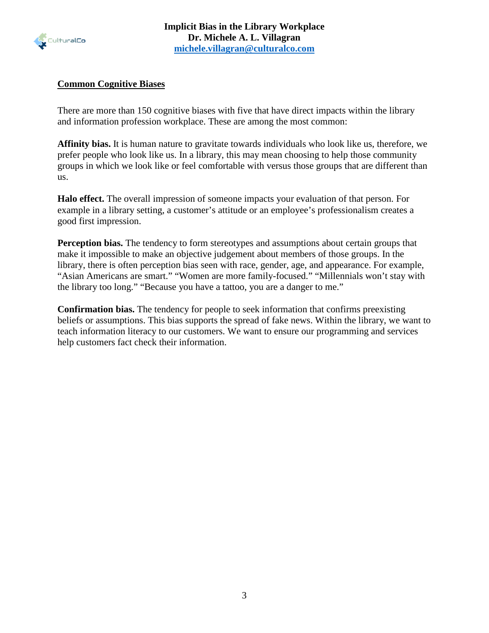

#### **Common Cognitive Biases**

There are more than 150 cognitive biases with five that have direct impacts within the library and information profession workplace. These are among the most common:

**Affinity bias.** It is human nature to gravitate towards individuals who look like us, therefore, we prefer people who look like us. In a library, this may mean choosing to help those community groups in which we look like or feel comfortable with versus those groups that are different than us.

**Halo effect.** The overall impression of someone impacts your evaluation of that person. For example in a library setting, a customer's attitude or an employee's professionalism creates a good first impression.

**Perception bias.** The tendency to form stereotypes and assumptions about certain groups that make it impossible to make an objective judgement about members of those groups. In the library, there is often perception bias seen with race, gender, age, and appearance. For example, "Asian Americans are smart." "Women are more family-focused." "Millennials won't stay with the library too long." "Because you have a tattoo, you are a danger to me."

**Confirmation bias.** The tendency for people to seek information that confirms preexisting beliefs or assumptions. This bias supports the spread of fake news. Within the library, we want to teach information literacy to our customers. We want to ensure our programming and services help customers fact check their information.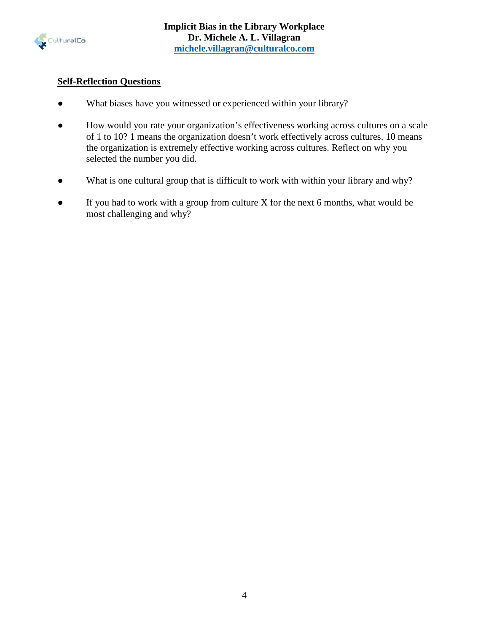

## **Self-Reflection Questions**

- What biases have you witnessed or experienced within your library?
- How would you rate your organization's effectiveness working across cultures on a scale of 1 to 10? 1 means the organization doesn't work effectively across cultures. 10 means the organization is extremely effective working across cultures. Reflect on why you selected the number you did.
- What is one cultural group that is difficult to work with within your library and why?
- If you had to work with a group from culture X for the next 6 months, what would be most challenging and why?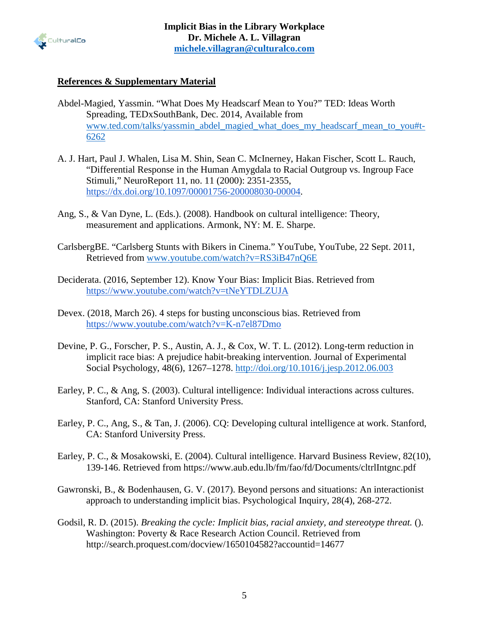

#### **References & Supplementary Material**

- Abdel-Magied, Yassmin. "What Does My Headscarf Mean to You?" TED: Ideas Worth Spreading, TEDxSouthBank, Dec. 2014, Available from [www.ted.com/talks/yassmin\\_abdel\\_magied\\_what\\_does\\_my\\_headscarf\\_mean\\_to\\_you#t-](http://www.ted.com/talks/yassmin_abdel_magied_what_does_my_headscarf_mean_to_you#t-)[6262](http://www.ted.com/talks/yassmin_abdel_magied_what_does_my_headscarf_mean_to_you#t-)
- A. J. Hart, Paul J. Whalen, Lisa M. Shin, Sean C. McInerney, Hakan Fischer, Scott L. Rauch, "Differential Response in the Human Amygdala to Racial Outgroup vs. Ingroup Face Stimuli," NeuroReport 11, no. 11 (2000): 2351-2355, [https://dx.doi.org/10.1097/00001756-200008030-00004.](https://doi.org/10.1097/00001756-200008030-00004)
- Ang, S., & Van Dyne, L. (Eds.). (2008). Handbook on cultural intelligence: Theory, measurement and applications. Armonk, NY: M. E. Sharpe.
- CarlsbergBE. "Carlsberg Stunts with Bikers in Cinema." YouTube, YouTube, 22 Sept. 2011, Retrieved from [www.youtube.com/watch?v=RS3iB47nQ6E](http://www.youtube.com/watch?v=RS3iB47nQ6E)
- Deciderata. (2016, September 12). Know Your Bias: Implicit Bias. Retrieved from <https://www.youtube.com/watch?v=tNeYTDLZUJA>
- Devex. (2018, March 26). 4 steps for busting unconscious bias. Retrieved from <https://www.youtube.com/watch?v=K-n7el87Dmo>
- Devine, P. G., Forscher, P. S., Austin, A. J., & Cox, W. T. L. (2012). Long-term reduction in implicit race bias: A prejudice habit-breaking intervention. Journal of Experimental Social Psychology, 48(6), 1267–1278.<http://doi.org/10.1016/j.jesp.2012.06.003>
- Earley, P. C., & Ang, S. (2003). Cultural intelligence: Individual interactions across cultures. Stanford, CA: Stanford University Press.
- Earley, P. C., Ang, S., & Tan, J. (2006). CQ: Developing cultural intelligence at work. Stanford, CA: Stanford University Press.
- Earley, P. C., & Mosakowski, E. (2004). Cultural intelligence. Harvard Business Review, 82(10), 139-146. Retrieved from https://www.aub.edu.lb/fm/fao/fd/Documents/cltrlIntgnc.pdf
- Gawronski, B., & Bodenhausen, G. V. (2017). Beyond persons and situations: An interactionist approach to understanding implicit bias. Psychological Inquiry, 28(4), 268-272.
- Godsil, R. D. (2015). *Breaking the cycle: Implicit bias, racial anxiety, and stereotype threat.* (). Washington: Poverty & Race Research Action Council. Retrieved from http://search.proquest.com/docview/1650104582?accountid=14677